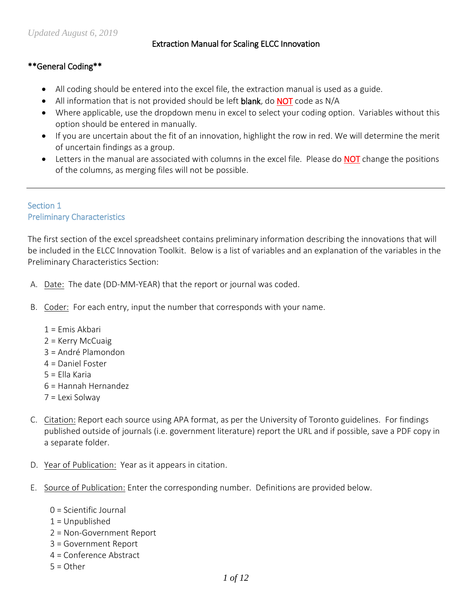### Extraction Manual for Scaling ELCC Innovation

## \*\*General Coding\*\*

- All coding should be entered into the excel file, the extraction manual is used as a guide.
- All information that is not provided should be left blank, do NOT code as N/A
- Where applicable, use the dropdown menu in excel to select your coding option. Variables without this option should be entered in manually.
- If you are uncertain about the fit of an innovation, highlight the row in red. We will determine the merit of uncertain findings as a group.
- Letters in the manual are associated with columns in the excel file. Please do NOT change the positions of the columns, as merging files will not be possible.

## Section 1 Preliminary Characteristics

The first section of the excel spreadsheet contains preliminary information describing the innovations that will be included in the ELCC Innovation Toolkit. Below is a list of variables and an explanation of the variables in the Preliminary Characteristics Section:

- A. Date: The date (DD-MM-YEAR) that the report or journal was coded.
- B. Coder: For each entry, input the number that corresponds with your name.
	- 1 = Emis Akbari
	- 2 = Kerry McCuaig
	- 3 = André Plamondon
	- 4 = Daniel Foster
	- 5 = Ella Karia
	- 6 = Hannah Hernandez
	- 7 = Lexi Solway
- C. Citation: Report each source using APA format, as per the University of Toronto guidelines. For findings published outside of journals (i.e. government literature) report the URL and if possible, save a PDF copy in a separate folder.
- D. Year of Publication: Year as it appears in citation.
- E. Source of Publication: Enter the corresponding number. Definitions are provided below.
	- 0 = Scientific Journal
	- $1 =$  Unpublished
	- 2 = Non-Government Report
	- 3 = Government Report
	- 4 = Conference Abstract
	- $5 =$  Other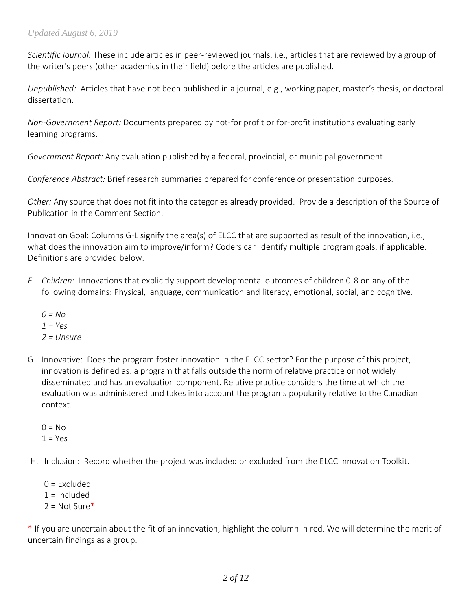*Scientific journal:* These include articles in peer-reviewed journals, i.e., articles that are reviewed by a group of the writer's peers (other academics in their field) before the articles are published.

*Unpublished:* Articles that have not been published in a journal, e.g., working paper, master's thesis, or doctoral dissertation.

*Non-Government Report:* Documents prepared by not-for profit or for-profit institutions evaluating early learning programs.

*Government Report:* Any evaluation published by a federal, provincial, or municipal government.

*Conference Abstract:* Brief research summaries prepared for conference or presentation purposes.

*Other:* Any source that does not fit into the categories already provided. Provide a description of the Source of Publication in the Comment Section.

Innovation Goal: Columns G-L signify the area(s) of ELCC that are supported as result of the innovation, i.e., what does the innovation aim to improve/inform? Coders can identify multiple program goals, if applicable. Definitions are provided below.

- *F. Children:* Innovations that explicitly support developmental outcomes of children 0-8 on any of the following domains: Physical, language, communication and literacy, emotional, social, and cognitive.
	- *0 = No 1 = Yes 2 = Unsure*
- G. Innovative: Does the program foster innovation in the ELCC sector? For the purpose of this project, innovation is defined as: a program that falls outside the norm of relative practice or not widely disseminated and has an evaluation component. Relative practice considers the time at which the evaluation was administered and takes into account the programs popularity relative to the Canadian context.
	- $0 = No$  $1 = Yes$
- H. Inclusion: Record whether the project was included or excluded from the ELCC Innovation Toolkit.
	- $0 =$  Excluded  $1 =$  Included  $2 = Not Sure*$

\* If you are uncertain about the fit of an innovation, highlight the column in red. We will determine the merit of uncertain findings as a group.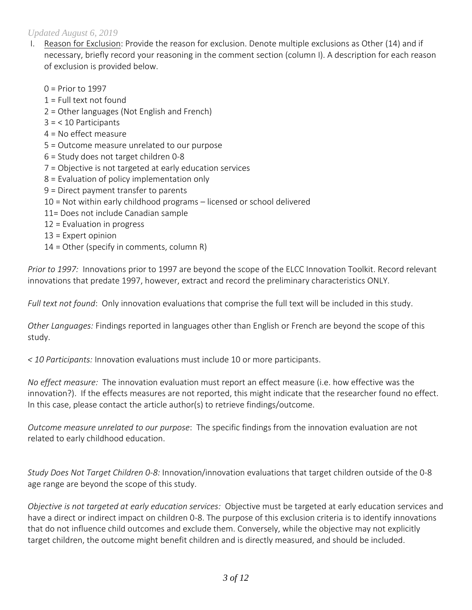- I. Reason for Exclusion: Provide the reason for exclusion. Denote multiple exclusions as Other (14) and if necessary, briefly record your reasoning in the comment section (column I). A description for each reason of exclusion is provided below.
	- 0 = Prior to 1997
	- $1$  = Full text not found
	- 2 = Other languages (Not English and French)
	- 3 = < 10 Participants
	- 4 = No effect measure
	- 5 = Outcome measure unrelated to our purpose
	- 6 = Study does not target children 0-8
	- 7 = Objective is not targeted at early education services
	- 8 = Evaluation of policy implementation only
	- 9 = Direct payment transfer to parents
	- 10 = Not within early childhood programs licensed or school delivered
	- 11= Does not include Canadian sample
	- 12 = Evaluation in progress
	- 13 = Expert opinion
	- $14 =$  Other (specify in comments, column R)

*Prior to 1997:* Innovations prior to 1997 are beyond the scope of the ELCC Innovation Toolkit. Record relevant innovations that predate 1997, however, extract and record the preliminary characteristics ONLY.

*Full text not found*: Only innovation evaluations that comprise the full text will be included in this study.

*Other Languages:* Findings reported in languages other than English or French are beyond the scope of this study.

*< 10 Participants:* Innovation evaluations must include 10 or more participants.

*No effect measure:* The innovation evaluation must report an effect measure (i.e. how effective was the innovation?). If the effects measures are not reported, this might indicate that the researcher found no effect. In this case, please contact the article author(s) to retrieve findings/outcome.

*Outcome measure unrelated to our purpose*: The specific findings from the innovation evaluation are not related to early childhood education.

*Study Does Not Target Children 0-8:* Innovation/innovation evaluations that target children outside of the 0-8 age range are beyond the scope of this study.

*Objective is not targeted at early education services:* Objective must be targeted at early education services and have a direct or indirect impact on children 0-8. The purpose of this exclusion criteria is to identify innovations that do not influence child outcomes and exclude them. Conversely, while the objective may not explicitly target children, the outcome might benefit children and is directly measured, and should be included.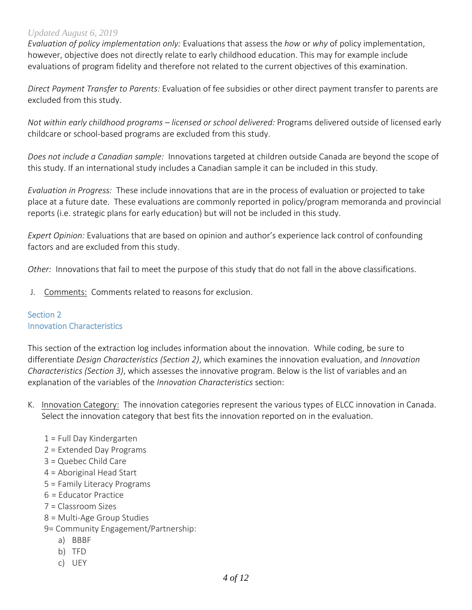*Evaluation of policy implementation only:* Evaluations that assess the *how* or *why* of policy implementation, however, objective does not directly relate to early childhood education. This may for example include evaluations of program fidelity and therefore not related to the current objectives of this examination.

*Direct Payment Transfer to Parents:* Evaluation of fee subsidies or other direct payment transfer to parents are excluded from this study.

*Not within early childhood programs – licensed or school delivered:* Programs delivered outside of licensed early childcare or school-based programs are excluded from this study.

*Does not include a Canadian sample:* Innovations targeted at children outside Canada are beyond the scope of this study. If an international study includes a Canadian sample it can be included in this study.

*Evaluation in Progress:* These include innovations that are in the process of evaluation or projected to take place at a future date. These evaluations are commonly reported in policy/program memoranda and provincial reports (i.e. strategic plans for early education) but will not be included in this study.

*Expert Opinion:* Evaluations that are based on opinion and author's experience lack control of confounding factors and are excluded from this study.

*Other:* Innovations that fail to meet the purpose of this study that do not fall in the above classifications.

J. Comments: Comments related to reasons for exclusion.

#### Section 2 Innovation Characteristics

This section of the extraction log includes information about the innovation. While coding, be sure to differentiate *Design Characteristics (Section 2)*, which examines the innovation evaluation, and *Innovation Characteristics (Section 3)*, which assesses the innovative program. Below is the list of variables and an explanation of the variables of the *Innovation Characteristics* section:

- K. Innovation Category: The innovation categories represent the various types of ELCC innovation in Canada. Select the innovation category that best fits the innovation reported on in the evaluation.
	- 1 = Full Day Kindergarten
	- 2 = Extended Day Programs
	- 3 = Quebec Child Care
	- 4 = Aboriginal Head Start
	- 5 = Family Literacy Programs
	- 6 = Educator Practice
	- 7 = Classroom Sizes
	- 8 = Multi-Age Group Studies
	- 9= Community Engagement/Partnership:
		- a) BBBF
		- b) TFD
		- c) UEY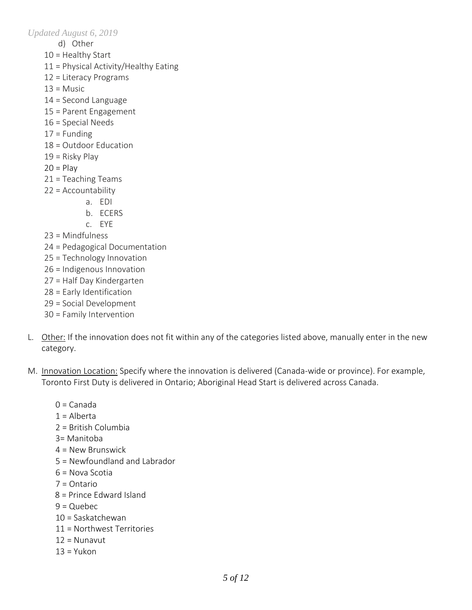- d) Other
- 10 = Healthy Start
- 11 = Physical Activity/Healthy Eating
- 12 = Literacy Programs
- $13$  = Music
- 14 = Second Language
- 15 = Parent Engagement
- 16 = Special Needs
- $17 =$  Funding
- 18 = Outdoor Education
- 19 = Risky Play
- $20 =$ Play
- 21 = Teaching Teams
- 22 = Accountability
	- a. EDI
	- b. ECERS
	- c. EYE
- 23 = Mindfulness
- 24 = Pedagogical Documentation
- 25 = Technology Innovation
- 26 = Indigenous Innovation
- 27 = Half Day Kindergarten
- 28 = Early Identification
- 29 = Social Development
- 30 = Family Intervention
- L. Other: If the innovation does not fit within any of the categories listed above, manually enter in the new category.
- M. Innovation Location: Specify where the innovation is delivered (Canada-wide or province). For example, Toronto First Duty is delivered in Ontario; Aboriginal Head Start is delivered across Canada.
	- $0 =$ Canada
	- $1 =$  Alberta
	- 2 = British Columbia
	- 3= Manitoba
	- 4 = New Brunswick
	- 5 = Newfoundland and Labrador
	- 6 = Nova Scotia
	- 7 = Ontario
	- 8 = Prince Edward Island
	- $9 =$ Quebec
	- 10 = Saskatchewan
	- 11 = Northwest Territories
	- 12 = Nunavut
	- $13 = Y$ ukon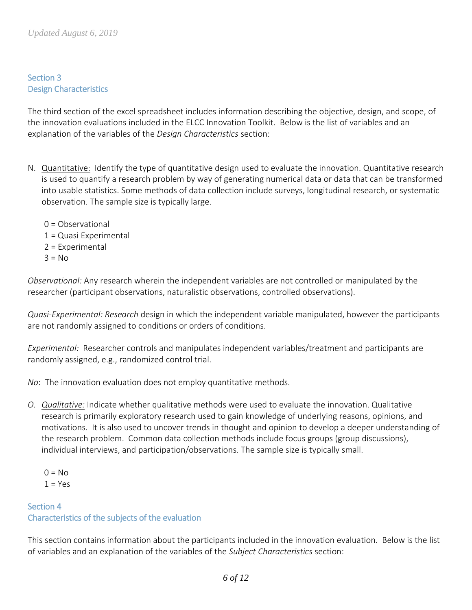## Section 3 Design Characteristics

The third section of the excel spreadsheet includes information describing the objective, design, and scope, of the innovation evaluations included in the ELCC Innovation Toolkit. Below is the list of variables and an explanation of the variables of the *Design Characteristics* section:

- N. Quantitative: Identify the type of quantitative design used to evaluate the innovation. Quantitative research is used to quantify a research problem by way of generating numerical data or data that can be transformed into usable statistics. Some methods of data collection include surveys, longitudinal research, or systematic observation. The sample size is typically large.
	- 0 = Observational 1 = Quasi Experimental 2 = Experimental  $3 = No$

*Observational:* Any research wherein the independent variables are not controlled or manipulated by the researcher (participant observations, naturalistic observations, controlled observations).

*Quasi-Experimental: Research* design in which the independent variable manipulated, however the participants are not randomly assigned to conditions or orders of conditions.

*Experimental:* Researcher controls and manipulates independent variables/treatment and participants are randomly assigned, e.g., randomized control trial.

*No*: The innovation evaluation does not employ quantitative methods.

- *O. Qualitative:* Indicate whether qualitative methods were used to evaluate the innovation. Qualitative research is primarily exploratory research used to gain knowledge of underlying reasons, opinions, and motivations. It is also used to uncover trends in thought and opinion to develop a deeper understanding of the research problem. Common data collection methods include focus groups (group discussions), individual interviews, and participation/observations. The sample size is typically small.
	- $0 = No$  $1 = Yes$

# Section 4 Characteristics of the subjects of the evaluation

This section contains information about the participants included in the innovation evaluation. Below is the list of variables and an explanation of the variables of the *Subject Characteristics* section: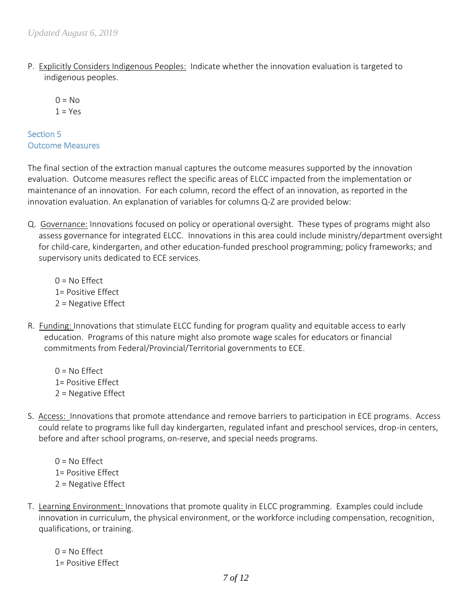P. Explicitly Considers Indigenous Peoples: Indicate whether the innovation evaluation is targeted to indigenous peoples.

 $0 = No$  $1 = Yes$ 

## Section 5 Outcome Measures

The final section of the extraction manual captures the outcome measures supported by the innovation evaluation. Outcome measures reflect the specific areas of ELCC impacted from the implementation or maintenance of an innovation. For each column, record the effect of an innovation, as reported in the innovation evaluation. An explanation of variables for columns Q-Z are provided below:

Q. Governance: Innovations focused on policy or operational oversight. These types of programs might also assess governance for integrated ELCC. Innovations in this area could include ministry/department oversight for child-care, kindergarten, and other education-funded preschool programming; policy frameworks; and supervisory units dedicated to ECE services.

 $0 = No$  Effect 1= Positive Effect 2 = Negative Effect

- R. Funding: Innovations that stimulate ELCC funding for program quality and equitable access to early education. Programs of this nature might also promote wage scales for educators or financial commitments from Federal/Provincial/Territorial governments to ECE.
	- $0 = No$  Effect 1= Positive Effect 2 = Negative Effect
- S. Access: Innovations that promote attendance and remove barriers to participation in ECE programs. Access could relate to programs like full day kindergarten, regulated infant and preschool services, drop-in centers, before and after school programs, on-reserve, and special needs programs.
	- $0 = No$  Effect 1= Positive Effect 2 = Negative Effect
- T. Learning Environment: Innovations that promote quality in ELCC programming. Examples could include innovation in curriculum, the physical environment, or the workforce including compensation, recognition, qualifications, or training.

 $0 = No$  Effect 1= Positive Effect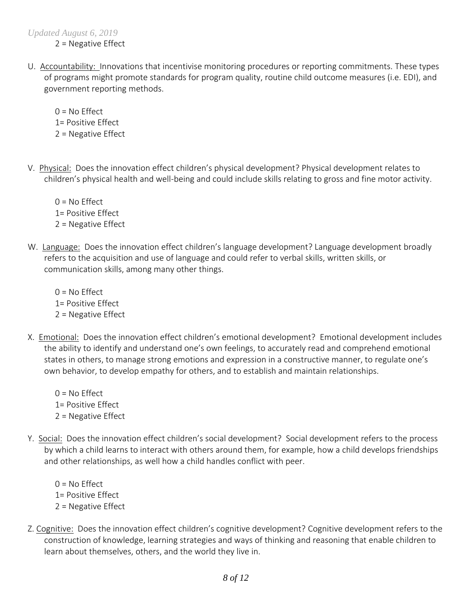2 = Negative Effect

U. Accountability: Innovations that incentivise monitoring procedures or reporting commitments. These types of programs might promote standards for program quality, routine child outcome measures (i.e. EDI), and government reporting methods.

 $0 = No$  Effect 1= Positive Effect 2 = Negative Effect

V. Physical: Does the innovation effect children's physical development? Physical development relates to children's physical health and well-being and could include skills relating to gross and fine motor activity.

 $0 = No$  Effect 1= Positive Effect 2 = Negative Effect

W. Language: Does the innovation effect children's language development? Language development broadly refers to the acquisition and use of language and could refer to verbal skills, written skills, or communication skills, among many other things.

 $0 = No$  Effect 1= Positive Effect 2 = Negative Effect

- X. Emotional: Does the innovation effect children's emotional development? Emotional development includes the ability to identify and understand one's own feelings, to accurately read and comprehend emotional states in others, to manage strong emotions and expression in a constructive manner, to regulate one's own behavior, to develop empathy for others, and to establish and maintain relationships.
	- $0 = No$  Effect 1= Positive Effect 2 = Negative Effect
- Y. Social: Does the innovation effect children's social development? Social development refers to the process by which a child learns to interact with others around them, for example, how a child develops friendships and other relationships, as well how a child handles conflict with peer.

 $0 = No$  Effect 1= Positive Effect 2 = Negative Effect

Z. Cognitive: Does the innovation effect children's cognitive development? Cognitive development refers to the construction of knowledge, learning strategies and ways of thinking and reasoning that enable children to learn about themselves, others, and the world they live in.